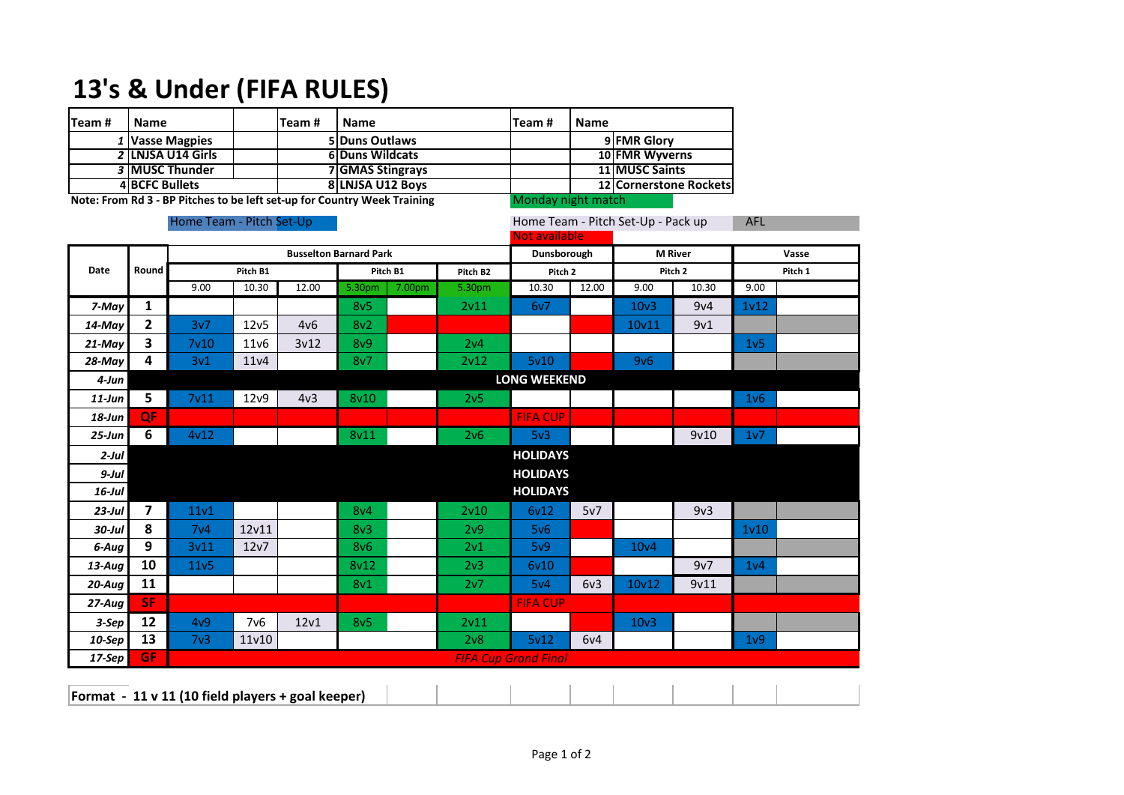## **13's & Under (FIFA RULES)**

| Team#                                                                                          | <b>Name</b>              |                             |                   | Team#                         | <b>Name</b>           |        | Team#           | <b>Name</b>        |                                                            |                    |                        |                   |            |  |  |
|------------------------------------------------------------------------------------------------|--------------------------|-----------------------------|-------------------|-------------------------------|-----------------------|--------|-----------------|--------------------|------------------------------------------------------------|--------------------|------------------------|-------------------|------------|--|--|
|                                                                                                | 1 Vasse Magpies          |                             |                   | 5                             | <b>Duns Outlaws</b>   |        |                 |                    | 9 FMR Glory                                                |                    |                        |                   |            |  |  |
|                                                                                                | 2 LNJSA U14 Girls        |                             |                   |                               | <b>6Duns Wildcats</b> |        |                 |                    |                                                            | 10 FMR Wyverns     |                        |                   |            |  |  |
|                                                                                                | 3 MUSC Thunder           |                             |                   | 7 GMAS Stingrays              |                       |        |                 |                    |                                                            | 11 MUSC Saints     |                        |                   |            |  |  |
|                                                                                                | <b>4 BCFC Bullets</b>    |                             |                   | 8 LNJSA U12 Boys              |                       |        |                 |                    |                                                            |                    | 12 Cornerstone Rockets |                   |            |  |  |
| Note: From Rd 3 - BP Pitches to be left set-up for Country Week Training<br>Monday night match |                          |                             |                   |                               |                       |        |                 |                    |                                                            |                    |                        |                   |            |  |  |
|                                                                                                | Home Team - Pitch Set-Up |                             |                   |                               |                       |        |                 |                    | Home Team - Pitch Set-Up - Pack up<br><b>Not available</b> |                    |                        |                   | <b>AFL</b> |  |  |
| Date                                                                                           | Round                    |                             |                   | <b>M</b> River<br>Dunsborough |                       |        |                 | Vasse              |                                                            |                    |                        |                   |            |  |  |
|                                                                                                |                          |                             | Pitch B1          | Pitch B1                      |                       |        | Pitch B2        | Pitch <sub>2</sub> |                                                            | Pitch <sub>2</sub> |                        | Pitch 1           |            |  |  |
|                                                                                                |                          | 9.00                        | 10.30             | 12.00                         | 5.30pm                | 7.00pm | 5.30pm          | 10.30              | 12.00                                                      | 9.00               | 10.30                  | 9.00              |            |  |  |
| 7-May                                                                                          | $\mathbf{1}$             |                             |                   |                               | 8v <sub>5</sub>       |        | 2v11            | 6v7                |                                                            | 10 <sub>v</sub> 3  | 9v4                    | 1 <sub>v</sub> 12 |            |  |  |
| 14-May                                                                                         | $\mathbf{2}$             | 3v7                         | 12v5              | 4v6                           | 8v2                   |        |                 |                    |                                                            | 10v11              | 9v1                    |                   |            |  |  |
| $21$ -May                                                                                      | 3                        | 7 <sub>v</sub> 10           | 11v6              | 3v12                          | 8v9                   |        | 2v4             |                    |                                                            |                    |                        | 1 <sub>v</sub> 5  |            |  |  |
| 28-May                                                                                         | 4                        | 3v1                         | 11v4              |                               | 8v7                   |        | 2v12            | 5v10               |                                                            | 9v6                |                        |                   |            |  |  |
| 4-Jun                                                                                          |                          |                             |                   | <b>LONG WEEKEND</b>           |                       |        |                 |                    |                                                            |                    |                        |                   |            |  |  |
| $11$ -Jun                                                                                      | 5                        | 7 <sub>v11</sub>            | 12 <sub>v</sub> 9 | 4v <sub>3</sub>               | 8v10                  |        | 2v <sub>5</sub> |                    |                                                            |                    |                        | 1 <sub>v</sub> 6  |            |  |  |
| $18$ -Jun                                                                                      | QF                       |                             |                   |                               |                       |        |                 | <b>FIFA CUP</b>    |                                                            |                    |                        |                   |            |  |  |
| $25 - Jun$                                                                                     | 6                        | 4v12                        |                   |                               | 8v11                  |        | 2v6             | 5v3                |                                                            |                    | 9v10                   | 1v7               |            |  |  |
| $2$ -Jul                                                                                       |                          |                             |                   |                               |                       |        |                 | <b>HOLIDAYS</b>    |                                                            |                    |                        |                   |            |  |  |
| $9$ -Jul                                                                                       |                          |                             |                   |                               |                       |        |                 | <b>HOLIDAYS</b>    |                                                            |                    |                        |                   |            |  |  |
| $16$ -Jul                                                                                      |                          |                             |                   |                               |                       |        |                 | <b>HOLIDAYS</b>    |                                                            |                    |                        |                   |            |  |  |
| $23$ -Jul                                                                                      | $\overline{7}$           | 11v1                        |                   |                               | 8 <sub>V</sub> 4      |        | 2v10            | 6v12               | 5v7                                                        |                    | 9v3                    |                   |            |  |  |
| $30$ -Jul                                                                                      | 8                        | 7 <sub>v4</sub>             | 12v11             |                               | 8v3                   |        | 2v9             | 5v6                |                                                            |                    |                        | 1 <sub>v</sub> 10 |            |  |  |
| 6-Aug                                                                                          | $\mathbf{9}$             | 3v11                        | 12v7              |                               | 8v6                   |        | 2v1             | 5v9                |                                                            | 10 <sub>v4</sub>   |                        |                   |            |  |  |
| $13$ -Aug                                                                                      | 10                       | 11v5                        |                   |                               | 8v12                  |        | 2v3             | 6v10               |                                                            |                    | 9v7                    | 1 <sub>v</sub> 4  |            |  |  |
| $20$ -Aug                                                                                      | 11                       |                             |                   |                               | 8v1                   |        | 2v7             | 5v4                | 6v3                                                        | 10v12              | 9v11                   |                   |            |  |  |
| $27 - Aug$                                                                                     | <b>SF</b>                |                             |                   |                               |                       |        |                 | <b>FIFA CUP</b>    |                                                            |                    |                        |                   |            |  |  |
| 3-Sep                                                                                          | 12                       | 4v9                         | 7 <sub>v</sub> 6  | 12 <sub>v1</sub>              | 8v <sub>5</sub>       |        | 2v11            |                    |                                                            | 10 <sub>v</sub> 3  |                        |                   |            |  |  |
| 10-Sep                                                                                         | 13                       | 7 <sub>v3</sub>             | 11v10             |                               |                       |        | 2v8             | 5v12               | 6v4                                                        |                    |                        | 1 <sub>v</sub> 9  |            |  |  |
| 17-Sep                                                                                         | <b>GF</b>                | <b>FIFA Cup Grand Final</b> |                   |                               |                       |        |                 |                    |                                                            |                    |                        |                   |            |  |  |
| Format - 11 v 11 (10 field players + goal keeper)                                              |                          |                             |                   |                               |                       |        |                 |                    |                                                            |                    |                        |                   |            |  |  |

 $\overline{\phantom{a}}$